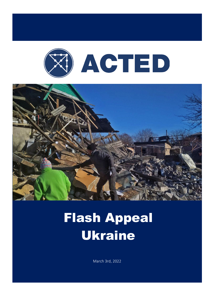



# Flash Appeal Ukraine

March 3rd, 2022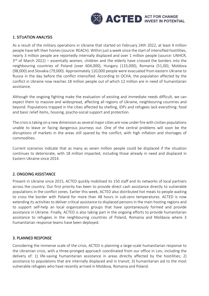

## 1. SITUATION ANALYSIS

As a result of the military operations in Ukraine that started on February 24th 2022, at least 4 million people have left their homes(source: REACH). Within just a week since the start of intensified hostilities, nearly 3 million people are reportedly internally displaced and over 1 million people (source: UNHCR,  $3<sup>rd</sup>$  of March 2022) – essentially women, children and the elderly have crossed the borders into the neighbouring countries of Poland (over 604,000), Hungary (133,000), Romania (51,00), Moldova (98,000) and Slovakia (79,000). Approximately 120,000 people were evacuated from eastern Ukraine to Russia in the day before the conflict intensified. According to OCHA, the population affected by the conflict in Ukraine now reaches 18 million people out of which 12 million are in need of humanitarian assistance.

Although the ongoing fighting make the evaluation of existing and immediate needs difficult, we can expect them to massive and widespread, affecting all regions of Ukraine, neighbouring countries and beyond. Populations trapped in the cities affected by shelling, IDPs and refugees lack everything: food and basic relief items, housing, psycho-social support and protection.

The crisis is taking on a new dimension as several major cities are now under fire with civilian populations unable to leave or facing dangerous journeys out. One of the central problems will soon be the disruptions of markets in the areas still spared by the conflict, with high inflation and shortages of commodities.

Current scenarios indicate that as many as seven million people could be displaced if the situation continues to deteriorate, with 18 million impacted, including those already in need and displaced in Eastern Ukraine since 2014.

## 2. ONGOING ASSISTANCE

Present in Ukraine since 2015, ACTED quickly mobilised its 150 staff and its networks of local partners across the country. Our first priority has been to provide direct cash assistance directly to vulnerable populations in the conflict zones. Earlier this week, ACTED also distributed hot meals to people waiting to cross the border with Poland for more than 48 hours in sub-zero temperatures. ACTED is now extending its activities to deliver critical assistance to displaced persons in the main hosting regions and to support self-help an local organizations groups that have spontaneously formed and provide assistance in Ukraine. Finally, ACTED is also taking part in the ongoing efforts to provide humanitarian assistance to refugees in the neighbouring countries of Poland, Romania and Moldavia where 3 humanitarian response teams have been deployed.

### 3. PLANNED RESPONSE

Considering the immense scale of the crisis, ACTED is planning a large-scale humanitarian response to the Ukrainian crisis, with a three-pronged approach coordinated from our office in Lviv, including the delivery of: 1) life-saving humanitarian assistance in areas directly affected by the hostilities; 2) assistance to populations that are internally displaced and in transit; 3) humanitarian aid to the most vulnerable refugees who have recently arrived in Moldova, Romania and Poland.